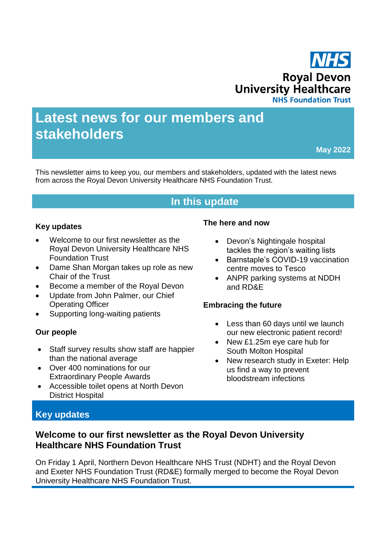

# **Latest news for our members and stakeholders**

**May 2022**

This newsletter aims to keep you, our members and stakeholders, updated with the latest news from across the Royal Devon University Healthcare NHS Foundation Trust.

# **In this update**

#### **Key updates**

- Welcome to our first newsletter as the Royal Devon University Healthcare NHS Foundation Trust
- Dame Shan Morgan takes up role as new Chair of the Trust
- Become a member of the Royal Devon
- Update from John Palmer, our Chief Operating Officer
- Supporting long-waiting patients

#### **Our people**

- Staff survey results show staff are happier than the national average
- Over 400 nominations for our Extraordinary People Awards
- Accessible toilet opens at North Devon District Hospital

#### **The here and now**

- Devon's Nightingale hospital tackles the region's waiting lists
- Barnstaple's COVID-19 vaccination centre moves to Tesco
- ANPR parking systems at NDDH and RD&E

#### **Embracing the future**

- Less than 60 days until we launch our new electronic patient record!
- New £1.25m eye care hub for South Molton Hospital
- New research study in Exeter: Help us find a way to prevent bloodstream infections

# **Key updates**

# **Welcome to our first newsletter as the Royal Devon University Healthcare NHS Foundation Trust**

On Friday 1 April, Northern Devon Healthcare NHS Trust (NDHT) and the Royal Devon and Exeter NHS Foundation Trust (RD&E) formally merged to become the Royal Devon University Healthcare NHS Foundation Trust.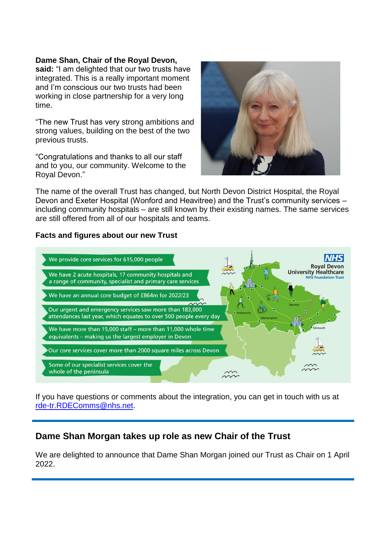#### **Dame Shan, Chair of the Royal Devon,**

**said:** "I am delighted that our two trusts have integrated. This is a really important moment and I'm conscious our two trusts had been working in close partnership for a very long time.

"The new Trust has very strong ambitions and strong values, building on the best of the two previous trusts.

"Congratulations and thanks to all our staff and to you, our community. Welcome to the Royal Devon."



The name of the overall Trust has changed, but North Devon District Hospital, the Royal Devon and Exeter Hospital (Wonford and Heavitree) and the Trust's community services – including community hospitals – are still known by their existing names. The same services are still offered from all of our hospitals and teams.

#### **Facts and figures about our new Trust**



If you have questions or comments about the integration, you can get in touch with us at [rde-tr.RDEComms@nhs.net.](mailto:rde-tr.RDEComms@nhs.net)

# **Dame Shan Morgan takes up role as new Chair of the Trust**

We are delighted to announce that Dame Shan Morgan joined our Trust as Chair on 1 April 2022.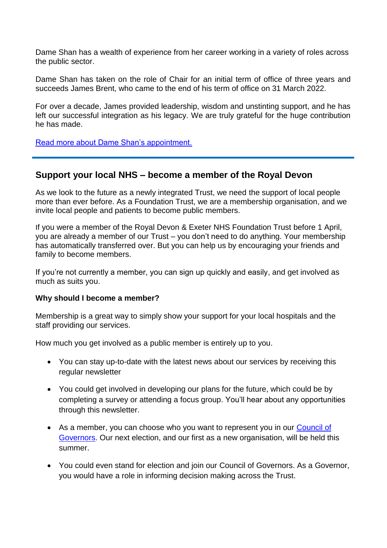Dame Shan has a wealth of experience from her career working in a variety of roles across the public sector.

Dame Shan has taken on the role of Chair for an initial term of office of three years and succeeds James Brent, who came to the end of his term of office on 31 March 2022.

For over a decade, James provided leadership, wisdom and unstinting support, and he has left our successful integration as his legacy. We are truly grateful for the huge contribution he has made.

[Read more about Dame Shan's appointment.](https://www.rdehospital.nhs.uk/news/dame-shan-morgan-appointed-chair-of-rd-e-and-ndht/)

## **Support your local NHS – become a member of the Royal Devon**

As we look to the future as a newly integrated Trust, we need the support of local people more than ever before. As a Foundation Trust, we are a membership organisation, and we invite local people and patients to become public members.

If you were a member of the Royal Devon & Exeter NHS Foundation Trust before 1 April, you are already a member of our Trust – you don't need to do anything. Your membership has automatically transferred over. But you can help us by encouraging your friends and family to become members.

If you're not currently a member, you can sign up quickly and easily, and get involved as much as suits you.

#### **Why should I become a member?**

Membership is a great way to simply show your support for your local hospitals and the staff providing our services.

How much you get involved as a public member is entirely up to you.

- You can stay up-to-date with the latest news about our services by receiving this regular newsletter
- You could get involved in developing our plans for the future, which could be by completing a survey or attending a focus group. You'll hear about any opportunities through this newsletter.
- As a member, you can choose who you want to represent you in our Council of [Governors.](https://royaldevon.nhs.uk/about-us/foundation-trust-and-membership/council-of-governors/) Our next election, and our first as a new organisation, will be held this summer.
- You could even stand for election and join our Council of Governors. As a Governor, you would have a role in informing decision making across the Trust.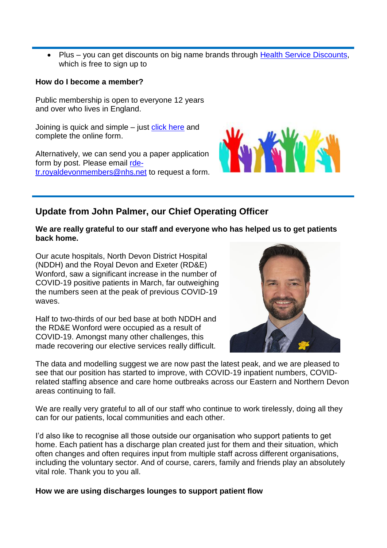• Plus – you can get discounts on big name brands through [Health Service Discounts,](https://healthservicediscounts.com/) which is free to sign up to

#### **How do I become a member?**

Public membership is open to everyone 12 years and over who lives in England.

Joining is quick and simple – just [click here](https://secure.membra.co.uk/rdeftapplicationform/) and complete the online form.

Alternatively, we can send you a paper application form by post. Please email [rde](mailto:rde-tr.royaldevonmembers@nhs.net)[tr.royaldevonmembers@nhs.net](mailto:rde-tr.royaldevonmembers@nhs.net) to request a form.



# **Update from John Palmer, our Chief Operating Officer**

#### **We are really grateful to our staff and everyone who has helped us to get patients back home.**

Our acute hospitals, North Devon District Hospital (NDDH) and the Royal Devon and Exeter (RD&E) Wonford, saw a significant increase in the number of COVID-19 positive patients in March, far outweighing the numbers seen at the peak of previous COVID-19 waves.

Half to two-thirds of our bed base at both NDDH and the RD&E Wonford were occupied as a result of COVID-19. Amongst many other challenges, this made recovering our elective services really difficult.



The data and modelling suggest we are now past the latest peak, and we are pleased to see that our position has started to improve, with COVID-19 inpatient numbers, COVIDrelated staffing absence and care home outbreaks across our Eastern and Northern Devon areas continuing to fall.

We are really very grateful to all of our staff who continue to work tirelessly, doing all they can for our patients, local communities and each other.

I'd also like to recognise all those outside our organisation who support patients to get home. Each patient has a discharge plan created just for them and their situation, which often changes and often requires input from multiple staff across different organisations, including the voluntary sector. And of course, carers, family and friends play an absolutely vital role. Thank you to you all.

#### **How we are using discharges lounges to support patient flow**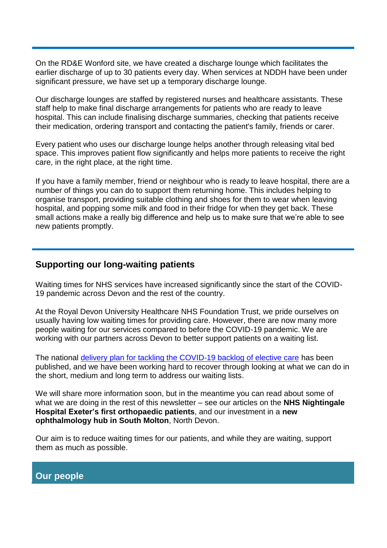On the RD&E Wonford site, we have created a discharge lounge which facilitates the earlier discharge of up to 30 patients every day. When services at NDDH have been under significant pressure, we have set up a temporary discharge lounge.

Our discharge lounges are staffed by registered nurses and healthcare assistants. These staff help to make final discharge arrangements for patients who are ready to leave hospital. This can include finalising discharge summaries, checking that patients receive their medication, ordering transport and contacting the patient's family, friends or carer.

Every patient who uses our discharge lounge helps another through releasing vital bed space. This improves patient flow significantly and helps more patients to receive the right care, in the right place, at the right time.

If you have a family member, friend or neighbour who is ready to leave hospital, there are a number of things you can do to support them returning home. This includes helping to organise transport, providing suitable clothing and shoes for them to wear when leaving hospital, and popping some milk and food in their fridge for when they get back. These small actions make a really big difference and help us to make sure that we're able to see new patients promptly.

# **Supporting our long-waiting patients**

Waiting times for NHS services have increased significantly since the start of the COVID-19 pandemic across Devon and the rest of the country.

At the Royal Devon University Healthcare NHS Foundation Trust, we pride ourselves on usually having low waiting times for providing care. However, there are now many more people waiting for our services compared to before the COVID-19 pandemic. We are working with our partners across Devon to better support patients on a waiting list.

The national [delivery plan for tackling the COVID-19 backlog of elective care](https://www.england.nhs.uk/coronavirus/publication/delivery-plan-for-tackling-the-covid-19-backlog-of-elective-care/) has been published, and we have been working hard to recover through looking at what we can do in the short, medium and long term to address our waiting lists.

We will share more information soon, but in the meantime you can read about some of what we are doing in the rest of this newsletter – see our articles on the **NHS Nightingale Hospital Exeter's first orthopaedic patients**, and our investment in a **new ophthalmology hub in South Molton**, North Devon.

Our aim is to reduce waiting times for our patients, and while they are waiting, support them as much as possible.

# **Our people**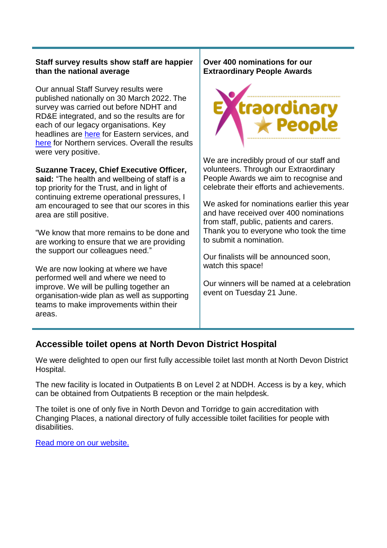#### **Staff survey results show staff are happier than the national average**

Our annual Staff Survey results were published nationally on 30 March 2022. The survey was carried out before NDHT and RD&E integrated, and so the results are for each of our legacy organisations. Key headlines are [here](https://www.rdehospital.nhs.uk/news/staff-feedback-puts-rd-e-above-average-in-most-aspects-of-survey/) for Eastern services, and [here](https://www.northdevonhealth.nhs.uk/2022/03/nhs-staff-survey-results-feedback-puts-ndht-above-average-across-all-survey-themes/) for Northern services. Overall the results were very positive.

#### **Suzanne Tracey, Chief Executive Officer,**

**said:** "The health and wellbeing of staff is a top priority for the Trust, and in light of continuing extreme operational pressures, I am encouraged to see that our scores in this area are still positive.

"We know that more remains to be done and are working to ensure that we are providing the support our colleagues need."

We are now looking at where we have performed well and where we need to improve. We will be pulling together an organisation-wide plan as well as supporting teams to make improvements within their areas.

#### **Over 400 nominations for our Extraordinary People Awards**



We are incredibly proud of our staff and volunteers. Through our Extraordinary People Awards we aim to recognise and celebrate their efforts and achievements.

We asked for nominations earlier this year and have received over 400 nominations from staff, public, patients and carers. Thank you to everyone who took the time to submit a nomination.

Our finalists will be announced soon, watch this space!

Our winners will be named at a celebration event on Tuesday 21 June.

# **Accessible toilet opens at North Devon District Hospital**

We were delighted to open our first fully accessible toilet last month at North Devon District Hospital.

The new facility is located in Outpatients B on Level 2 at NDDH. Access is by a key, which can be obtained from Outpatients B reception or the main helpdesk.

The toilet is one of only five in North Devon and Torridge to gain accreditation with Changing Places, a national directory of fully accessible toilet facilities for people with disabilities.

[Read more on our website.](https://royaldevon.nhs.uk/news/accessible-toilet-opens-at-nddh/)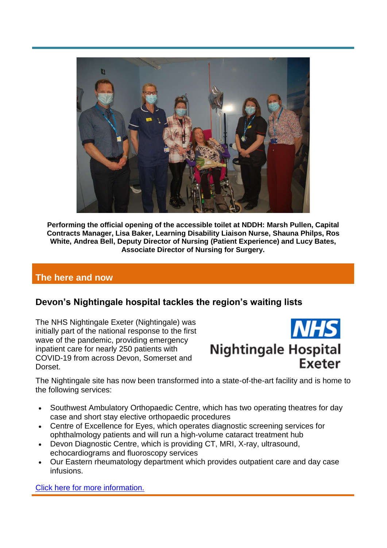

**Performing the official opening of the accessible toilet at NDDH: Marsh Pullen, Capital Contracts Manager, Lisa Baker, Learning Disability Liaison Nurse, Shauna Philps, Ros White, Andrea Bell, Deputy Director of Nursing (Patient Experience) and Lucy Bates, Associate Director of Nursing for Surgery.**

# **The here and now**

# **Devon's Nightingale hospital tackles the region's waiting lists**

The NHS Nightingale Exeter (Nightingale) was initially part of the national response to the first wave of the pandemic, providing emergency inpatient care for nearly 250 patients with COVID-19 from across Devon, Somerset and Dorset.



The Nightingale site has now been transformed into a state-of-the-art facility and is home to the following services:

- Southwest Ambulatory Orthopaedic Centre, which has two operating theatres for day case and short stay elective orthopaedic procedures
- Centre of Excellence for Eyes, which operates diagnostic screening services for ophthalmology patients and will run a high-volume cataract treatment hub
- Devon Diagnostic Centre, which is providing CT, MRI, X-ray, ultrasound, echocardiograms and fluoroscopy services
- Our Eastern rheumatology department which provides outpatient care and day case infusions.

[Click here for more information.](https://nightingale-exeter.nhs.uk/)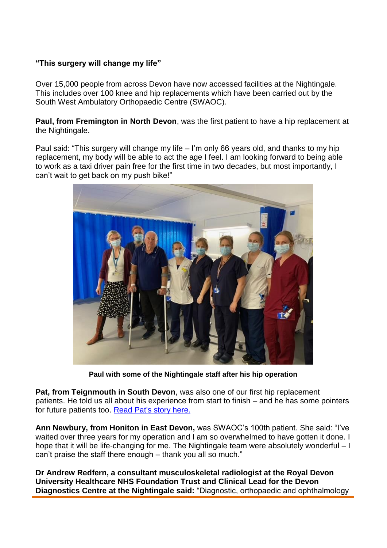#### **"This surgery will change my life"**

Over 15,000 people from across Devon have now accessed facilities at the Nightingale. This includes over 100 knee and hip replacements which have been carried out by the South West Ambulatory Orthopaedic Centre (SWAOC).

**Paul, from Fremington in North Devon**, was the first patient to have a hip replacement at the Nightingale.

Paul said: "This surgery will change my life – I'm only 66 years old, and thanks to my hip replacement, my body will be able to act the age I feel. I am looking forward to being able to work as a taxi driver pain free for the first time in two decades, but most importantly, I can't wait to get back on my push bike!"



**Paul with some of the Nightingale staff after his hip operation**

**Pat, from Teignmouth in South Devon**, was also one of our first hip replacement patients. He told us all about his experience from start to finish – and he has some pointers for future patients too. [Read Pat's story here.](https://nightingale-exeter.nhs.uk/news/pats-story)

**Ann Newbury, from Honiton in East Devon,** was SWAOC's 100th patient. She said: "I've waited over three years for my operation and I am so overwhelmed to have gotten it done. I hope that it will be life-changing for me. The Nightingale team were absolutely wonderful – I can't praise the staff there enough – thank you all so much."

**Dr Andrew Redfern, a consultant musculoskeletal radiologist at the Royal Devon University Healthcare NHS Foundation Trust and Clinical Lead for the Devon Diagnostics Centre at the Nightingale said:** "Diagnostic, orthopaedic and ophthalmology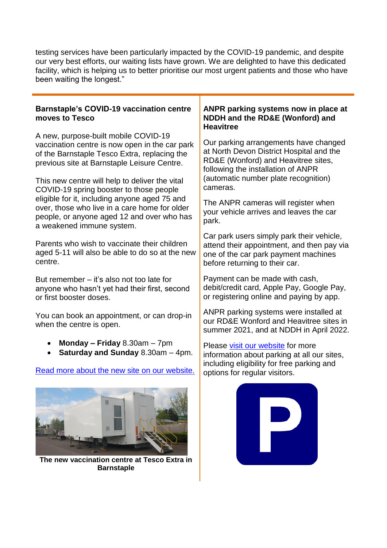testing services have been particularly impacted by the COVID-19 pandemic, and despite our very best efforts, our waiting lists have grown. We are delighted to have this dedicated facility, which is helping us to better prioritise our most urgent patients and those who have been waiting the longest."

#### **Barnstaple's COVID-19 vaccination centre moves to Tesco**

A new, purpose-built mobile COVID-19 vaccination centre is now open in the car park of the Barnstaple Tesco Extra, replacing the previous site at Barnstaple Leisure Centre.

This new centre will help to deliver the vital COVID-19 spring booster to those people eligible for it, including anyone aged 75 and over, those who live in a care home for older people, or anyone aged 12 and over who has a weakened immune system.

Parents who wish to vaccinate their children aged 5-11 will also be able to do so at the new centre.

But remember – it's also not too late for anyone who hasn't yet had their first, second or first booster doses.

You can book an appointment, or can drop-in when the centre is open.

- **Monday – Friday** 8.30am 7pm
- **Saturday and Sunday** 8.30am 4pm.

### [Read more about the new site on our website.](https://royaldevon.nhs.uk/our-sites/north-devon-covid-19-vaccination-centre/)



**The new vaccination centre at Tesco Extra in Barnstaple**

#### **ANPR parking systems now in place at NDDH and the RD&E (Wonford) and Heavitree**

Our parking arrangements have changed at North Devon District Hospital and the RD&E (Wonford) and Heavitree sites, following the installation of ANPR (automatic number plate recognition) cameras.

The ANPR cameras will register when your vehicle arrives and leaves the car park.

Car park users simply park their vehicle, attend their appointment, and then pay via one of the car park payment machines before returning to their car.

Payment can be made with cash, debit/credit card, Apple Pay, Google Pay, or registering online and paying by app.

ANPR parking systems were installed at our RD&E Wonford and Heavitree sites in summer 2021, and at NDDH in April 2022.

Please [visit our website](https://royaldevon.nhs.uk/our-sites) for more information about parking at all our sites, including eligibility for free parking and options for regular visitors.

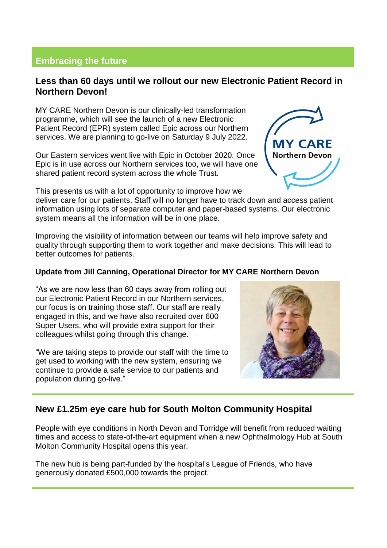# **Embracing the future**

# **Less than 60 days until we rollout our new Electronic Patient Record in Northern Devon!**

MY CARE Northern Devon is our clinically-led transformation programme, which will see the launch of a new Electronic Patient Record (EPR) system called Epic across our Northern services. We are planning to go-live on Saturday 9 July 2022.

Our Eastern services went live with Epic in October 2020. Once Epic is in use across our Northern services too, we will have one shared patient record system across the whole Trust.

This presents us with a lot of opportunity to improve how we

deliver care for our patients. Staff will no longer have to track down and access patient information using lots of separate computer and paper-based systems. Our electronic system means all the information will be in one place.

Improving the visibility of information between our teams will help improve safety and quality through supporting them to work together and make decisions. This will lead to better outcomes for patients.

#### **Update from Jill Canning, Operational Director for MY CARE Northern Devon**

"As we are now less than 60 days away from rolling out our Electronic Patient Record in our Northern services, our focus is on training those staff. Our staff are really engaged in this, and we have also recruited over 600 Super Users, who will provide extra support for their colleagues whilst going through this change.

"We are taking steps to provide our staff with the time to get used to working with the new system, ensuring we continue to provide a safe service to our patients and population during go-live."

# **New £1.25m eye care hub for South Molton Community Hospital**

People with eye conditions in North Devon and Torridge will benefit from reduced waiting times and access to state-of-the-art equipment when a new Ophthalmology Hub at South Molton Community Hospital opens this year.

The new hub is being part-funded by the hospital's League of Friends, who have generously donated £500,000 towards the project.



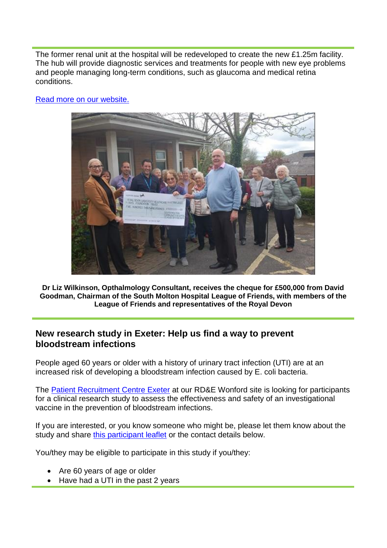The former renal unit at the hospital will be redeveloped to create the new £1.25m facility. The hub will provide diagnostic services and treatments for people with new eye problems and people managing long-term conditions, such as glaucoma and medical retina conditions.



[Read more on our website.](https://royaldevon.nhs.uk/news/1-25m-eye-care-hub-for-south-molton-hospital-thanks-to-500-000-donation-from-league-of-friends/)

**Dr Liz Wilkinson, Opthalmology Consultant, receives the cheque for £500,000 from David Goodman, Chairman of the South Molton Hospital League of Friends, with members of the League of Friends and representatives of the Royal Devon**

# **New research study in Exeter: Help us find a way to prevent bloodstream infections**

People aged 60 years or older with a history of urinary tract infection (UTI) are at an increased risk of developing a bloodstream infection caused by E. coli bacteria.

The [Patient Recruitment Centre Exeter](https://local.nihr.ac.uk/prc/exeter/) at our RD&E Wonford site is looking for participants for a clinical research study to assess the effectiveness and safety of an investigational vaccine in the prevention of bloodstream infections.

If you are interested, or you know someone who might be, please let them know about the study and share [this participant leaflet](https://royaldevon.nhs.uk/media/0p2j1et2/64-participant-brochure.pdf) or the contact details below.

You/they may be eligible to participate in this study if you/they:

- Are 60 years of age or older
- Have had a UTI in the past 2 years